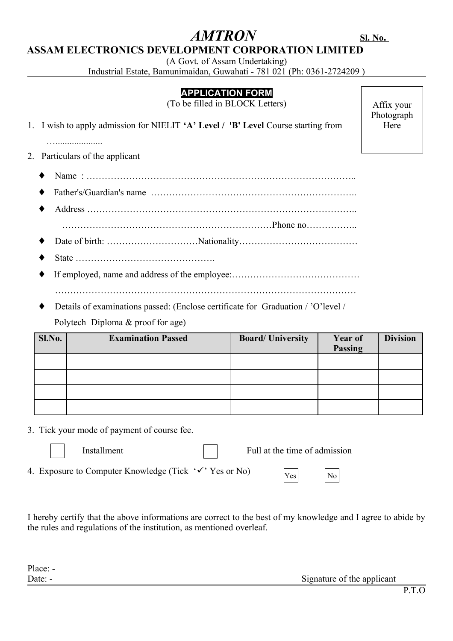# **ASSAM ELECTRONICS DEVELOPMENT CORPORATION LIMITED**

(A Govt. of Assam Undertaking)

Industrial Estate, Bamunimaidan, Guwahati - 781 021 (Ph: 0361-2724209 )

## **APPLICATION FORM**

(To be filled in BLOCK Letters)

1. I wish to apply admission for NIELIT **'A' Level / 'B' Level** Course starting from

Affix your Photograph Here

…....................

2. Particulars of the applicant

- ♦ Name : ……………………………………………………………………………..
- ♦ Father's/Guardian's name …………………………………………………………..
- ♦ Address …………………………………………………………………………….. ……………………………………………………………Phone no……………..
- ♦ Date of birth: …………………………Nationality…………………………………
- ♦ State ……………………………………….
- ♦ If employed, name and address of the employee:…………………………………… ………………………………………………………………………………………
- Details of examinations passed: (Enclose certificate for Graduation / 'O'level / Polytech Diploma & proof for age)

| Sl.No. | <b>Examination Passed</b> | <b>Board/University</b> | Year of<br>Passing | <b>Division</b> |
|--------|---------------------------|-------------------------|--------------------|-----------------|
|        |                           |                         |                    |                 |
|        |                           |                         |                    |                 |
|        |                           |                         |                    |                 |
|        |                           |                         |                    |                 |

3. Tick your mode of payment of course fee.

Installment  $\parallel \parallel$  Full at the time of admission

4. Exposure to Computer Knowledge (Tick  $\forall$  'Yes or No)

Yes No

I hereby certify that the above informations are correct to the best of my knowledge and I agree to abide by the rules and regulations of the institution, as mentioned overleaf.

Place: -

Date: - Signature of the applicant